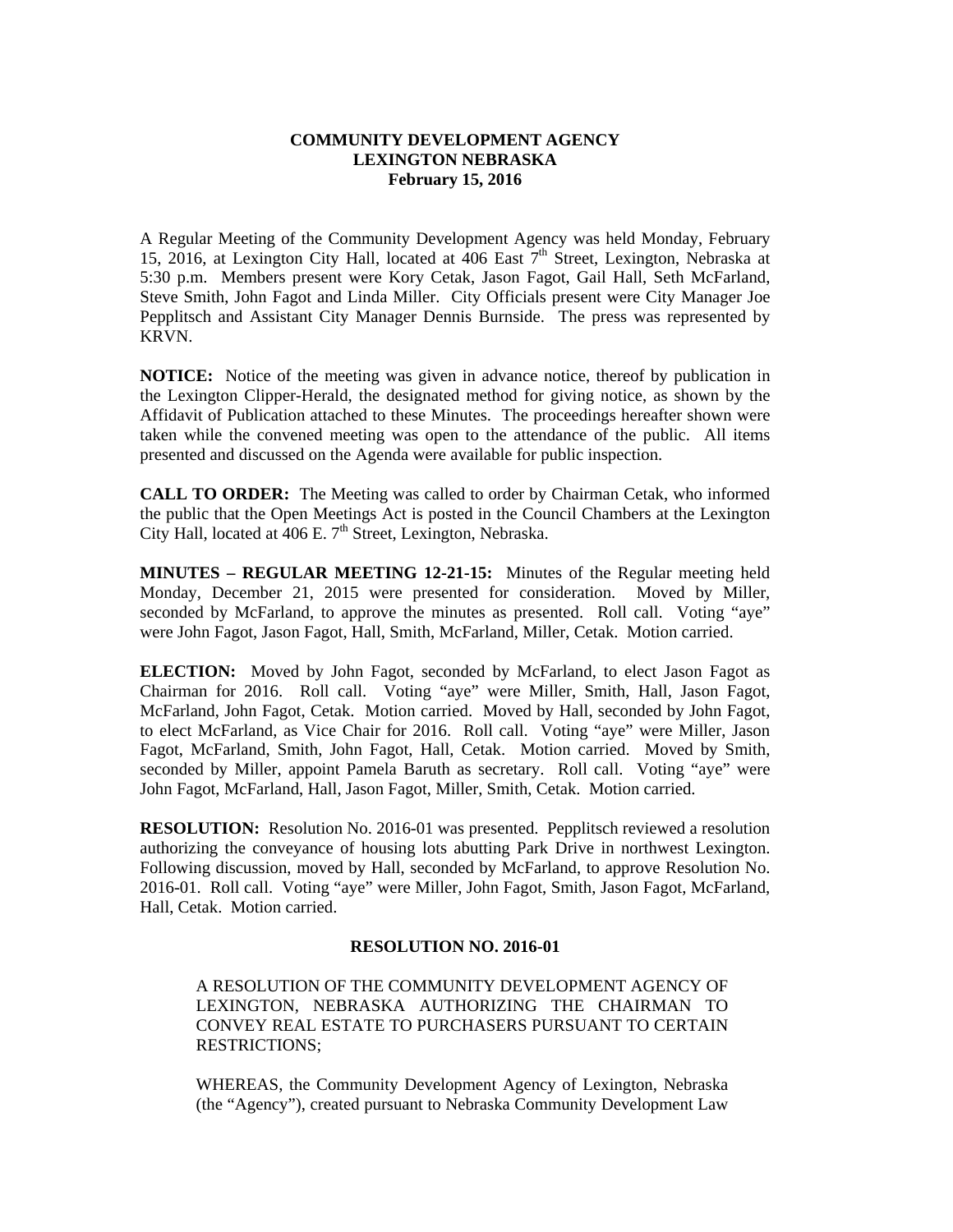## **COMMUNITY DEVELOPMENT AGENCY LEXINGTON NEBRASKA February 15, 2016**

A Regular Meeting of the Community Development Agency was held Monday, February 15, 2016, at Lexington City Hall, located at  $\overline{406}$  East  $\overline{7}^{th}$  Street, Lexington, Nebraska at 5:30 p.m. Members present were Kory Cetak, Jason Fagot, Gail Hall, Seth McFarland, Steve Smith, John Fagot and Linda Miller. City Officials present were City Manager Joe Pepplitsch and Assistant City Manager Dennis Burnside. The press was represented by KRVN.

**NOTICE:** Notice of the meeting was given in advance notice, thereof by publication in the Lexington Clipper-Herald, the designated method for giving notice, as shown by the Affidavit of Publication attached to these Minutes. The proceedings hereafter shown were taken while the convened meeting was open to the attendance of the public. All items presented and discussed on the Agenda were available for public inspection.

**CALL TO ORDER:** The Meeting was called to order by Chairman Cetak, who informed the public that the Open Meetings Act is posted in the Council Chambers at the Lexington City Hall, located at  $406$  E.  $7<sup>th</sup>$  Street, Lexington, Nebraska.

**MINUTES – REGULAR MEETING 12-21-15:** Minutes of the Regular meeting held Monday, December 21, 2015 were presented for consideration. Moved by Miller, seconded by McFarland, to approve the minutes as presented. Roll call. Voting "aye" were John Fagot, Jason Fagot, Hall, Smith, McFarland, Miller, Cetak. Motion carried.

**ELECTION:** Moved by John Fagot, seconded by McFarland, to elect Jason Fagot as Chairman for 2016. Roll call. Voting "aye" were Miller, Smith, Hall, Jason Fagot, McFarland, John Fagot, Cetak. Motion carried. Moved by Hall, seconded by John Fagot, to elect McFarland, as Vice Chair for 2016. Roll call. Voting "aye" were Miller, Jason Fagot, McFarland, Smith, John Fagot, Hall, Cetak. Motion carried. Moved by Smith, seconded by Miller, appoint Pamela Baruth as secretary. Roll call. Voting "aye" were John Fagot, McFarland, Hall, Jason Fagot, Miller, Smith, Cetak. Motion carried.

**RESOLUTION:** Resolution No. 2016-01 was presented. Pepplitsch reviewed a resolution authorizing the conveyance of housing lots abutting Park Drive in northwest Lexington. Following discussion, moved by Hall, seconded by McFarland, to approve Resolution No. 2016-01. Roll call. Voting "aye" were Miller, John Fagot, Smith, Jason Fagot, McFarland, Hall, Cetak. Motion carried.

# **RESOLUTION NO. 2016-01**

A RESOLUTION OF THE COMMUNITY DEVELOPMENT AGENCY OF LEXINGTON, NEBRASKA AUTHORIZING THE CHAIRMAN TO CONVEY REAL ESTATE TO PURCHASERS PURSUANT TO CERTAIN RESTRICTIONS;

WHEREAS, the Community Development Agency of Lexington, Nebraska (the "Agency"), created pursuant to Nebraska Community Development Law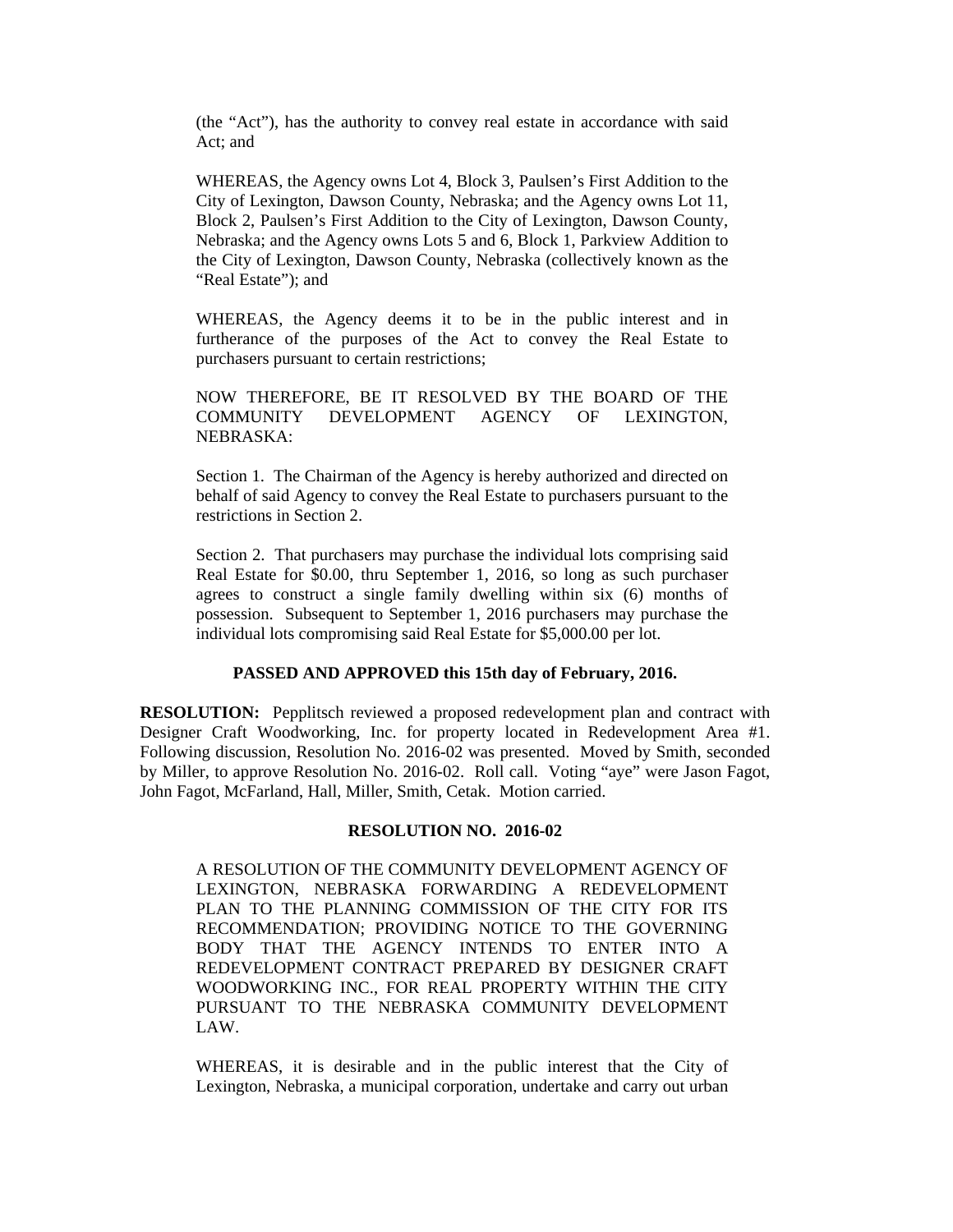(the "Act"), has the authority to convey real estate in accordance with said Act; and

WHEREAS, the Agency owns Lot 4, Block 3, Paulsen's First Addition to the City of Lexington, Dawson County, Nebraska; and the Agency owns Lot 11, Block 2, Paulsen's First Addition to the City of Lexington, Dawson County, Nebraska; and the Agency owns Lots 5 and 6, Block 1, Parkview Addition to the City of Lexington, Dawson County, Nebraska (collectively known as the "Real Estate"); and

WHEREAS, the Agency deems it to be in the public interest and in furtherance of the purposes of the Act to convey the Real Estate to purchasers pursuant to certain restrictions;

NOW THEREFORE, BE IT RESOLVED BY THE BOARD OF THE COMMUNITY DEVELOPMENT AGENCY OF LEXINGTON, NEBRASKA:

Section 1. The Chairman of the Agency is hereby authorized and directed on behalf of said Agency to convey the Real Estate to purchasers pursuant to the restrictions in Section 2.

Section 2. That purchasers may purchase the individual lots comprising said Real Estate for \$0.00, thru September 1, 2016, so long as such purchaser agrees to construct a single family dwelling within six (6) months of possession. Subsequent to September 1, 2016 purchasers may purchase the individual lots compromising said Real Estate for \$5,000.00 per lot.

### **PASSED AND APPROVED this 15th day of February, 2016.**

**RESOLUTION:** Pepplitsch reviewed a proposed redevelopment plan and contract with Designer Craft Woodworking, Inc. for property located in Redevelopment Area #1. Following discussion, Resolution No. 2016-02 was presented. Moved by Smith, seconded by Miller, to approve Resolution No. 2016-02. Roll call. Voting "aye" were Jason Fagot, John Fagot, McFarland, Hall, Miller, Smith, Cetak. Motion carried.

#### **RESOLUTION NO. 2016-02**

A RESOLUTION OF THE COMMUNITY DEVELOPMENT AGENCY OF LEXINGTON, NEBRASKA FORWARDING A REDEVELOPMENT PLAN TO THE PLANNING COMMISSION OF THE CITY FOR ITS RECOMMENDATION; PROVIDING NOTICE TO THE GOVERNING BODY THAT THE AGENCY INTENDS TO ENTER INTO A REDEVELOPMENT CONTRACT PREPARED BY DESIGNER CRAFT WOODWORKING INC., FOR REAL PROPERTY WITHIN THE CITY PURSUANT TO THE NEBRASKA COMMUNITY DEVELOPMENT LAW.

WHEREAS, it is desirable and in the public interest that the City of Lexington, Nebraska, a municipal corporation, undertake and carry out urban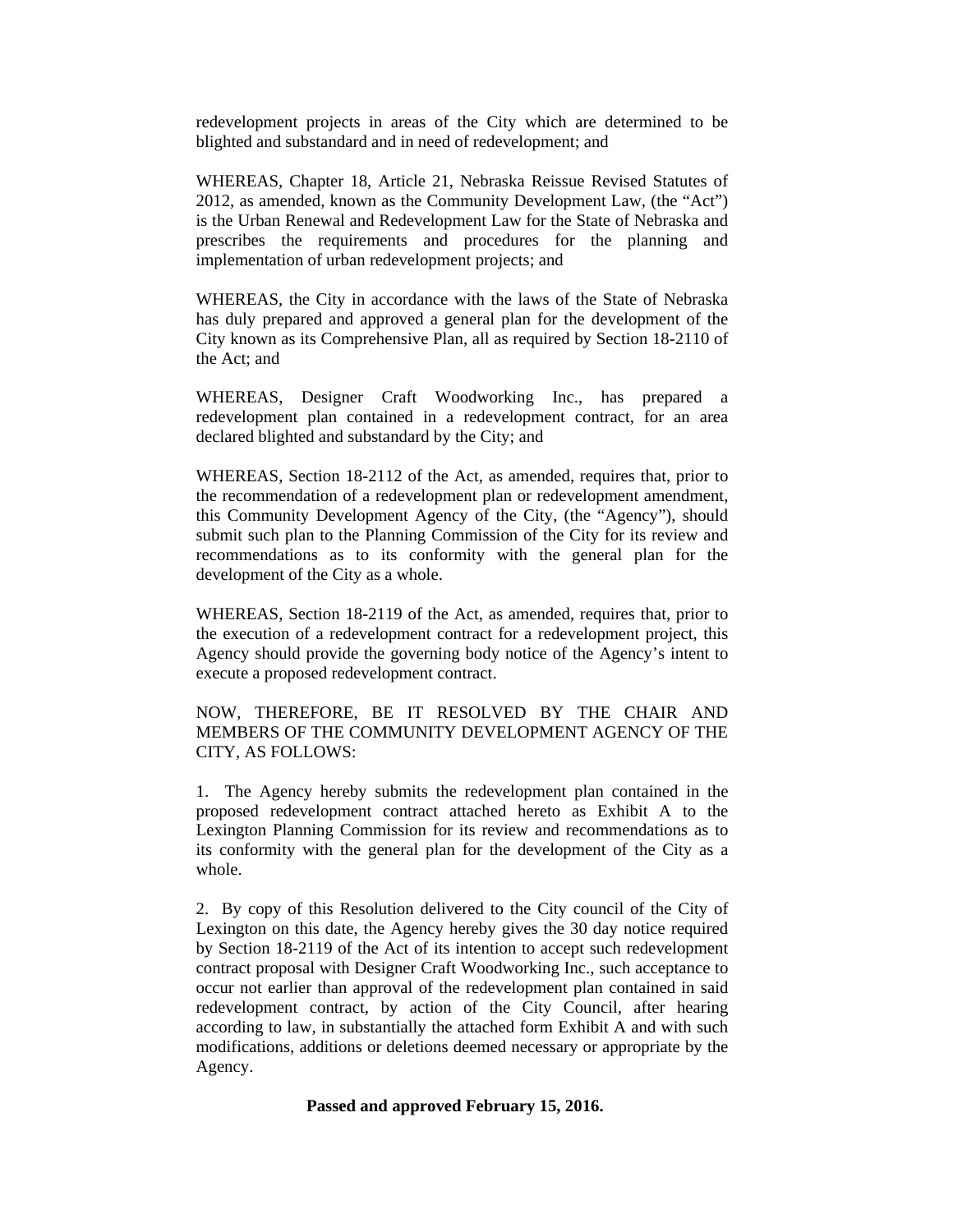redevelopment projects in areas of the City which are determined to be blighted and substandard and in need of redevelopment; and

WHEREAS, Chapter 18, Article 21, Nebraska Reissue Revised Statutes of 2012, as amended, known as the Community Development Law, (the "Act") is the Urban Renewal and Redevelopment Law for the State of Nebraska and prescribes the requirements and procedures for the planning and implementation of urban redevelopment projects; and

WHEREAS, the City in accordance with the laws of the State of Nebraska has duly prepared and approved a general plan for the development of the City known as its Comprehensive Plan, all as required by Section 18-2110 of the Act; and

WHEREAS, Designer Craft Woodworking Inc., has prepared a redevelopment plan contained in a redevelopment contract, for an area declared blighted and substandard by the City; and

WHEREAS, Section 18-2112 of the Act, as amended, requires that, prior to the recommendation of a redevelopment plan or redevelopment amendment, this Community Development Agency of the City, (the "Agency"), should submit such plan to the Planning Commission of the City for its review and recommendations as to its conformity with the general plan for the development of the City as a whole.

WHEREAS, Section 18-2119 of the Act, as amended, requires that, prior to the execution of a redevelopment contract for a redevelopment project, this Agency should provide the governing body notice of the Agency's intent to execute a proposed redevelopment contract.

NOW, THEREFORE, BE IT RESOLVED BY THE CHAIR AND MEMBERS OF THE COMMUNITY DEVELOPMENT AGENCY OF THE CITY, AS FOLLOWS:

1. The Agency hereby submits the redevelopment plan contained in the proposed redevelopment contract attached hereto as Exhibit A to the Lexington Planning Commission for its review and recommendations as to its conformity with the general plan for the development of the City as a whole.

2. By copy of this Resolution delivered to the City council of the City of Lexington on this date, the Agency hereby gives the 30 day notice required by Section 18-2119 of the Act of its intention to accept such redevelopment contract proposal with Designer Craft Woodworking Inc., such acceptance to occur not earlier than approval of the redevelopment plan contained in said redevelopment contract, by action of the City Council, after hearing according to law, in substantially the attached form Exhibit A and with such modifications, additions or deletions deemed necessary or appropriate by the Agency.

#### **Passed and approved February 15, 2016.**